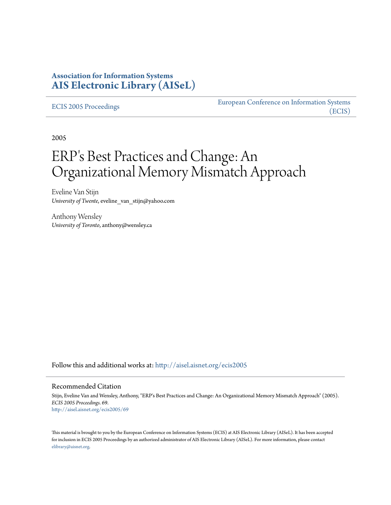## **Association for Information Systems [AIS Electronic Library \(AISeL\)](http://aisel.aisnet.org?utm_source=aisel.aisnet.org%2Fecis2005%2F69&utm_medium=PDF&utm_campaign=PDFCoverPages)**

#### [ECIS 2005 Proceedings](http://aisel.aisnet.org/ecis2005?utm_source=aisel.aisnet.org%2Fecis2005%2F69&utm_medium=PDF&utm_campaign=PDFCoverPages)

[European Conference on Information Systems](http://aisel.aisnet.org/ecis?utm_source=aisel.aisnet.org%2Fecis2005%2F69&utm_medium=PDF&utm_campaign=PDFCoverPages) [\(ECIS\)](http://aisel.aisnet.org/ecis?utm_source=aisel.aisnet.org%2Fecis2005%2F69&utm_medium=PDF&utm_campaign=PDFCoverPages)

2005

# ERP's Best Practices and Change: An Organizational Memory Mismatch Approach

Eveline Van Stijn *University of Twente*, eveline\_van\_stijn@yahoo.com

Anthony Wensley *University of Toronto*, anthony@wensley.ca

Follow this and additional works at: [http://aisel.aisnet.org/ecis2005](http://aisel.aisnet.org/ecis2005?utm_source=aisel.aisnet.org%2Fecis2005%2F69&utm_medium=PDF&utm_campaign=PDFCoverPages)

#### Recommended Citation

Stijn, Eveline Van and Wensley, Anthony, "ERP's Best Practices and Change: An Organizational Memory Mismatch Approach" (2005). *ECIS 2005 Proceedings*. 69. [http://aisel.aisnet.org/ecis2005/69](http://aisel.aisnet.org/ecis2005/69?utm_source=aisel.aisnet.org%2Fecis2005%2F69&utm_medium=PDF&utm_campaign=PDFCoverPages)

This material is brought to you by the European Conference on Information Systems (ECIS) at AIS Electronic Library (AISeL). It has been accepted for inclusion in ECIS 2005 Proceedings by an authorized administrator of AIS Electronic Library (AISeL). For more information, please contact [elibrary@aisnet.org.](mailto:elibrary@aisnet.org%3E)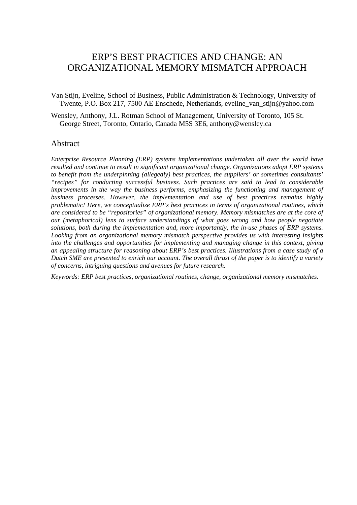# ERP'S BEST PRACTICES AND CHANGE: AN ORGANIZATIONAL MEMORY MISMATCH APPROACH

Van Stijn, Eveline, School of Business, Public Administration & Technology, University of Twente, P.O. Box 217, 7500 AE Enschede, Netherlands, eveline\_van\_stijn@yahoo.com

Wensley, Anthony, J.L. Rotman School of Management, University of Toronto, 105 St. George Street, Toronto, Ontario, Canada M5S 3E6, anthony@wensley.ca

#### Abstract

*Enterprise Resource Planning (ERP) systems implementations undertaken all over the world have resulted and continue to result in significant organizational change. Organizations adopt ERP systems to benefit from the underpinning (allegedly) best practices, the suppliers' or sometimes consultants' "recipes" for conducting successful business. Such practices are said to lead to considerable improvements in the way the business performs, emphasizing the functioning and management of business processes. However, the implementation and use of best practices remains highly problematic! Here, we conceptualize ERP's best practices in terms of organizational routines, which are considered to be "repositories" of organizational memory. Memory mismatches are at the core of our (metaphorical) lens to surface understandings of what goes wrong and how people negotiate solutions, both during the implementation and, more importantly, the in-use phases of ERP systems. Looking from an organizational memory mismatch perspective provides us with interesting insights into the challenges and opportunities for implementing and managing change in this context, giving an appealing structure for reasoning about ERP's best practices. Illustrations from a case study of a Dutch SME are presented to enrich our account. The overall thrust of the paper is to identify a variety of concerns, intriguing questions and avenues for future research.* 

*Keywords: ERP best practices, organizational routines, change, organizational memory mismatches.*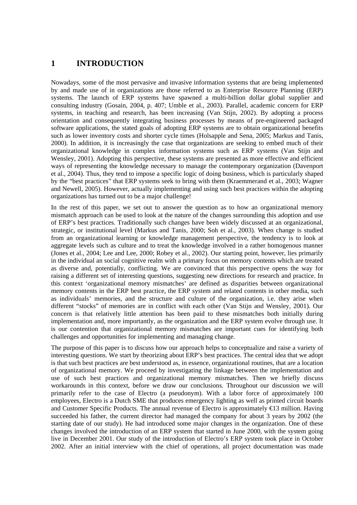### **1 INTRODUCTION**

Nowadays, some of the most pervasive and invasive information systems that are being implemented by and made use of in organizations are those referred to as Enterprise Resource Planning (ERP) systems. The launch of ERP systems have spawned a multi-billion dollar global supplier and consulting industry (Gosain, 2004, p. 407; Umble et al., 2003). Parallel, academic concern for ERP systems, in teaching and research, has been increasing (Van Stijn, 2002). By adopting a process orientation and consequently integrating business processes by means of pre-engineered packaged software applications, the stated goals of adopting ERP systems are to obtain organizational benefits such as lower inventory costs and shorter cycle times (Holsapple and Sena, 2005; Markus and Tanis, 2000). In addition, it is increasingly the case that organizations are seeking to embed much of their organizational knowledge in complex information systems such as ERP systems (Van Stijn and Wensley, 2001). Adopting this perspective, these systems are presented as more effective and efficient ways of representing the knowledge necessary to manage the contemporary organization (Davenport et al., 2004). Thus, they tend to impose a specific logic of doing business, which is particularly shaped by the "best practices" that ERP systems seek to bring with them (Kraemmerand et al., 2003; Wagner and Newell, 2005). However, actually implementing and using such best practices within the adopting organizations has turned out to be a major challenge!

In the rest of this paper, we set out to answer the question as to how an organizational memory mismatch approach can be used to look at the nature of the changes surrounding this adoption and use of ERP's best practices. Traditionally such changes have been widely discussed at an organizational, strategic, or institutional level (Markus and Tanis, 2000; Soh et al., 2003). When change is studied from an organizational learning or knowledge management perspective, the tendency is to look at aggregate levels such as culture and to treat the knowledge involved in a rather homogenous manner (Jones et al., 2004; Lee and Lee, 2000; Robey et al., 2002). Our starting point, however, lies primarily in the individual an social cognitive realm with a primary focus on memory contents which are treated as diverse and, potentially, conflicting. We are convinced that this perspective opens the way for raising a different set of interesting questions, suggesting new directions for research and practice. In this context 'organizational memory mismatches' are defined as disparities between organizational memory contents in the ERP best practice, the ERP system and related contents in other media, such as individuals' memories, and the structure and culture of the organization, i.e. they arise when different "stocks" of memories are in conflict with each other (Van Stijn and Wensley, 2001). Our concern is that relatively little attention has been paid to these mismatches both initially during implementation and, more importantly, as the organization and the ERP system evolve through use. It is our contention that organizational memory mismatches are important cues for identifying both challenges and opportunities for implementing and managing change.

The purpose of this paper is to discuss how our approach helps to conceptualize and raise a variety of interesting questions. We start by theorizing about ERP's best practices. The central idea that we adopt is that such best practices are best understood as, in essence, organizational routines, that are a location of organizational memory. We proceed by investigating the linkage between the implementation and use of such best practices and organizational memory mismatches. Then we briefly discuss workarounds in this context, before we draw our conclusions. Throughout our discussion we will primarily refer to the case of Electro (a pseudonym). With a labor force of approximately 100 employees, Electro is a Dutch SME that produces emergency lighting as well as printed circuit boards and Customer Specific Products. The annual revenue of Electro is approximately €13 million. Having succeeded his father, the current director had managed the company for about 3 years by 2002 (the starting date of our study). He had introduced some major changes in the organization. One of these changes involved the introduction of an ERP system that started in June 2000, with the system going live in December 2001. Our study of the introduction of Electro's ERP system took place in October 2002. After an initial interview with the chief of operations, all project documentation was made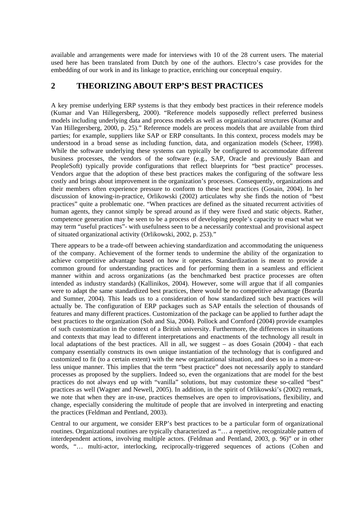available and arrangements were made for interviews with 10 of the 28 current users. The material used here has been translated from Dutch by one of the authors. Electro's case provides for the embedding of our work in and its linkage to practice, enriching our conceptual enquiry.

#### **2 THEORIZING ABOUT ERP'S BEST PRACTICES**

A key premise underlying ERP systems is that they embody best practices in their reference models (Kumar and Van Hillegersberg, 2000). "Reference models supposedly reflect preferred business models including underlying data and process models as well as organizational structures (Kumar and Van Hillegersberg, 2000, p. 25)." Reference models are process models that are available from third parties; for example, suppliers like SAP or ERP consultants. In this context, process models may be understood in a broad sense as including function, data, and organization models (Scheer, 1998). While the software underlying these systems can typically be configured to accommodate different business processes, the vendors of the software (e.g., SAP, Oracle and previously Baan and PeopleSoft) typically provide configurations that reflect blueprints for "best practice" processes. Vendors argue that the adoption of these best practices makes the configuring of the software less costly and brings about improvement in the organization's processes. Consequently, organizations and their members often experience pressure to conform to these best practices (Gosain, 2004). In her discussion of knowing-in-practice, Orlikowski (2002) articulates why she finds the notion of "best practices" quite a problematic one. "When practices are defined as the situated recurrent activities of human agents, they cannot simply be spread around as if they were fixed and static objects. Rather, competence generation may be seen to be a process of developing people's capacity to enact what we may term "useful practices"- with usefulness seen to be a necessarily contextual and provisional aspect of situated organizational activity (Orlikowski, 2002, p. 253)."

There appears to be a trade-off between achieving standardization and accommodating the uniqueness of the company. Achievement of the former tends to undermine the ability of the organization to achieve competitive advantage based on how it operates. Standardization is meant to provide a common ground for understanding practices and for performing them in a seamless and efficient manner within and across organizations (as the benchmarked best practice processes are often intended as industry standards) (Kallinikos, 2004). However, some will argue that if all companies were to adapt the same standardized best practices, there would be no competitive advantage (Bearda and Sumner, 2004). This leads us to a consideration of how standardized such best practices will actually be. The configuration of ERP packages such as SAP entails the selection of thousands of features and many different practices. Customization of the package can be applied to further adapt the best practices to the organization (Soh and Sia, 2004). Pollock and Cornford (2004) provide examples of such customization in the context of a British university. Furthermore, the differences in situations and contexts that may lead to different interpretations and enactments of the technology all result in local adaptations of the best practices. All in all, we suggest – as does Gosain (2004) - that each company essentially constructs its own unique instantiation of the technology that is configured and customized to fit (to a certain extent) with the new organizational situation, and does so in a more-orless unique manner. This implies that the term "best practice" does not necessarily apply to standard processes as proposed by the suppliers. Indeed so, even the organizations that are model for the best practices do not always end up with "vanilla" solutions, but may customize these so-called "best" practices as well (Wagner and Newell, 2005). In addition, in the spirit of Orlikowski's (2002) remark, we note that when they are in-use, practices themselves are open to improvisations, flexibility, and change, especially considering the multitude of people that are involved in interpreting and enacting the practices (Feldman and Pentland, 2003).

Central to our argument, we consider ERP's best practices to be a particular form of organizational routines. Organizational routines are typically characterized as "… a repetitive, recognizable pattern of interdependent actions, involving multiple actors. (Feldman and Pentland, 2003, p. 96)" or in other words, "… multi-actor, interlocking, reciprocally-triggered sequences of actions (Cohen and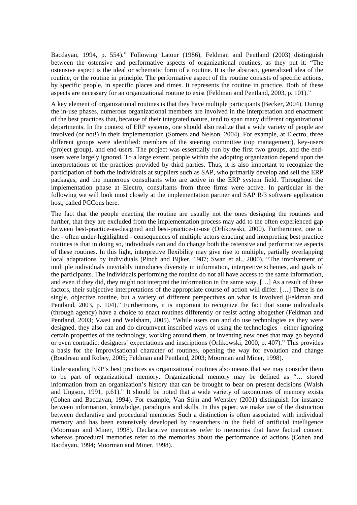Bacdayan, 1994, p. 554)." Following Latour (1986), Feldman and Pentland (2003) distinguish between the ostensive and performative aspects of organizational routines, as they put it: "The ostensive aspect is the ideal or schematic form of a routine. It is the abstract, generalized idea of the routine, or the routine in principle. The performative aspect of the routine consists of specific actions, by specific people, in specific places and times. It represents the routine in practice. Both of these aspects are necessary for an organizational routine to exist (Feldman and Pentland, 2003, p. 101)."

A key element of organizational routines is that they have multiple participants (Becker, 2004). During the in-use phases, numerous organizational members are involved in the interpretation and enactment of the best practices that, because of their integrated nature, tend to span many different organizational departments. In the context of ERP systems, one should also realize that a wide variety of people are involved (or not!) in their implementation (Somers and Nelson, 2004). For example, at Electro, three different groups were identified: members of the steering committee (top management), key-users (project group), and end-users. The project was essentially run by the first two groups, and the endusers were largely ignored. To a large extent, people within the adopting organization depend upon the interpretations of the practices provided by third parties. Thus, it is also important to recognize the participation of both the individuals at suppliers such as SAP, who primarily develop and sell the ERP packages, and the numerous consultants who are active in the ERP system field. Throughout the implementation phase at Electro, consultants from three firms were active. In particular in the following we will look most closely at the implementation partner and SAP R/3 software application host, called PCCons here.

The fact that the people enacting the routine are usually not the ones designing the routines and further, that they are excluded from the implementation process may add to the often experienced gap between best-practice-as-designed and best-practice-in-use (Orlikowski, 2000). Furthermore, one of the - often under-highlighted - consequences of multiple actors enacting and interpreting best practice routines is that in doing so, individuals can and do change both the ostensive and performative aspects of these routines. In this light, interpretive flexibility may give rise to multiple, partially overlapping local adaptations by individuals (Pinch and Bijker, 1987; Swan et al., 2000). "The involvement of multiple individuals inevitably introduces diversity in information, interpretive schemes, and goals of the participants. The individuals performing the routine do not all have access to the same information, and even if they did, they might not interpret the information in the same way. […] As a result of these factors, their subjective interpretations of the appropriate course of action will differ. […] There is no single, objective routine, but a variety of different perspectives on what is involved (Feldman and Pentland, 2003, p. 104)." Furthermore, it is important to recognize the fact that some individuals (through agency) have a choice to enact routines differently or resist acting altogether (Feldman and Pentland, 2003; Vaast and Walsham, 2005). "While users can and do use technologies as they were designed, they also can and do circumvent inscribed ways of using the technologies - either ignoring certain properties of the technology, working around them, or inventing new ones that may go beyond or even contradict designers' expectations and inscriptions (Orlikowski, 2000, p. 407)." This provides a basis for the improvisational character of routines, opening the way for evolution and change (Boudreau and Robey, 2005; Feldman and Pentland, 2003; Moorman and Miner, 1998).

Understanding ERP's best practices as organizational routines also means that we may consider them to be part of organizational memory. Organizational memory may be defined as "… stored information from an organization's history that can be brought to bear on present decisions (Walsh and Ungson, 1991, p.61)." It should be noted that a wide variety of taxonomies of memory exists (Cohen and Bacdayan, 1994). For example, Van Stijn and Wensley (2001) distinguish for instance between information, knowledge, paradigms and skills. In this paper, we make use of the distinction between declarative and procedural memories Such a distinction is often associated with individual memory and has been extensively developed by researchers in the field of artificial intelligence (Moorman and Miner, 1998). Declarative memories refer to memories that have factual content whereas procedural memories refer to the memories about the performance of actions (Cohen and Bacdayan, 1994; Moorman and Miner, 1998).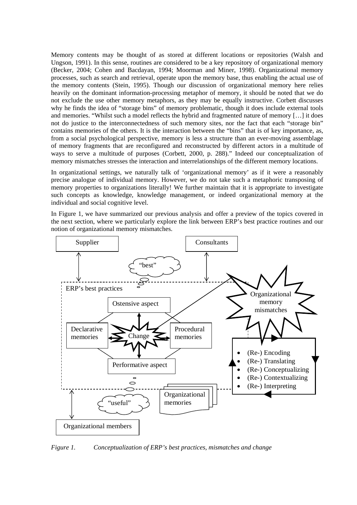Memory contents may be thought of as stored at different locations or repositories (Walsh and Ungson, 1991). In this sense, routines are considered to be a key repository of organizational memory (Becker, 2004; Cohen and Bacdayan, 1994; Moorman and Miner, 1998). Organizational memory processes, such as search and retrieval, operate upon the memory base, thus enabling the actual use of the memory contents (Stein, 1995). Though our discussion of organizational memory here relies heavily on the dominant information-processing metaphor of memory, it should be noted that we do not exclude the use other memory metaphors, as they may be equally instructive. Corbett discusses why he finds the idea of "storage bins" of memory problematic, though it does include external tools and memories. "Whilst such a model reflects the hybrid and fragmented nature of memory […] it does not do justice to the interconnectedness of such memory sites, nor the fact that each "storage bin" contains memories of the others. It is the interaction between the "bins" that is of key importance, as, from a social psychological perspective, memory is less a structure than an ever-moving assemblage of memory fragments that are reconfigured and reconstructed by different actors in a multitude of ways to serve a multitude of purposes (Corbett, 2000, p. 288)." Indeed our conceptualization of memory mismatches stresses the interaction and interrelationships of the different memory locations.

In organizational settings, we naturally talk of 'organizational memory' as if it were a reasonably precise analogue of individual memory. However, we do not take such a metaphoric transposing of memory properties to organizations literally! We further maintain that it is appropriate to investigate such concepts as knowledge, knowledge management, or indeed organizational memory at the individual and social cognitive level.

In Figure 1, we have summarized our previous analysis and offer a preview of the topics covered in the next section, where we particularly explore the link between ERP's best practice routines and our notion of organizational memory mismatches.



*Figure 1. Conceptualization of ERP's best practices, mismatches and change*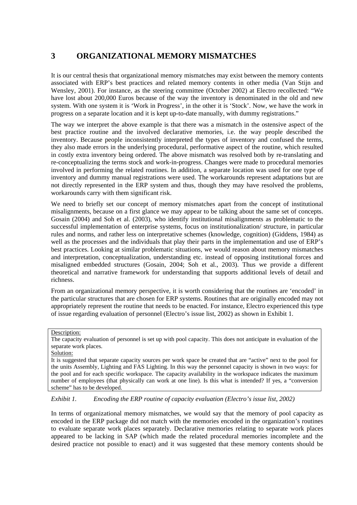# **3 ORGANIZATIONAL MEMORY MISMATCHES**

It is our central thesis that organizational memory mismatches may exist between the memory contents associated with ERP's best practices and related memory contents in other media (Van Stijn and Wensley, 2001). For instance, as the steering committee (October 2002) at Electro recollected: "We have lost about 200,000 Euros because of the way the inventory is denominated in the old and new system. With one system it is 'Work in Progress', in the other it is 'Stock'. Now, we have the work in progress on a separate location and it is kept up-to-date manually, with dummy registrations."

The way we interpret the above example is that there was a mismatch in the ostensive aspect of the best practice routine and the involved declarative memories, i.e. the way people described the inventory. Because people inconsistently interpreted the types of inventory and confused the terms, they also made errors in the underlying procedural, performative aspect of the routine, which resulted in costly extra inventory being ordered. The above mismatch was resolved both by re-translating and re-conceptualizing the terms stock and work-in-progress. Changes were made to procedural memories involved in performing the related routines. In addition, a separate location was used for one type of inventory and dummy manual registrations were used. The workarounds represent adaptations but are not directly represented in the ERP system and thus, though they may have resolved the problems, workarounds carry with them significant risk.

We need to briefly set our concept of memory mismatches apart from the concept of institutional misalignments, because on a first glance we may appear to be talking about the same set of concepts. Gosain (2004) and Soh et al. (2003), who identify institutional misalignments as problematic to the successful implementation of enterprise systems, focus on institutionalization/ structure, in particular rules and norms, and rather less on interpretative schemes (knowledge, cognition) (Giddens, 1984) as well as the processes and the individuals that play their parts in the implementation and use of ERP's best practices. Looking at similar problematic situations, we would reason about memory mismatches and interpretation, conceptualization, understanding etc. instead of opposing institutional forces and misaligned embedded structures (Gosain, 2004; Soh et al., 2003). Thus we provide a different theoretical and narrative framework for understanding that supports additional levels of detail and richness.

From an organizational memory perspective, it is worth considering that the routines are 'encoded' in the particular structures that are chosen for ERP systems. Routines that are originally encoded may not appropriately represent the routine that needs to be enacted. For instance, Electro experienced this type of issue regarding evaluation of personnel (Electro's issue list, 2002) as shown in Exhibit 1.

*Exhibit 1. Encoding the ERP routine of capacity evaluation (Electro's issue list, 2002)* 

In terms of organizational memory mismatches, we would say that the memory of pool capacity as encoded in the ERP package did not match with the memories encoded in the organization's routines to evaluate separate work places separately. Declarative memories relating to separate work places appeared to be lacking in SAP (which made the related procedural memories incomplete and the desired practice not possible to enact) and it was suggested that these memory contents should be

Description:

The capacity evaluation of personnel is set up with pool capacity. This does not anticipate in evaluation of the separate work places.

Solution:

It is suggested that separate capacity sources per work space be created that are "active" next to the pool for the units Assembly, Lighting and FAS Lighting. In this way the personnel capacity is shown in two ways: for the pool and for each specific workspace. The capacity availability in the workspace indicates the maximum number of employees (that physically can work at one line). Is this what is intended? If yes, a "conversion scheme" has to be developed.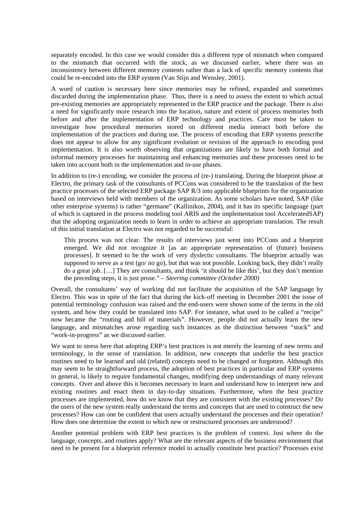separately encoded. In this case we would consider this a different type of mismatch when compared to the mismatch that occurred with the stock, as we discussed earlier, where there was an inconsistency between different memory contents rather than a lack of specific memory contents that could be re-encoded into the ERP system (Van Stijn and Wensley, 2001).

A word of caution is necessary here since memories may be refined, expanded and sometimes discarded during the implementation phase. Thus, there is a need to assess the extent to which actual pre-existing memories are appropriately represented in the ERP practice and the package. There is also a need for significantly more research into the location, nature and extent of process memories both before and after the implementation of ERP technology and practices. Care must be taken to investigate how procedural memories stored on different media interact both before the implementation of the practices and during use. The process of encoding that ERP systems prescribe does not appear to allow for any significant evolution or revision of the approach to encoding post implementation. It is also worth observing that organizations are likely to have both formal and informal memory processes for maintaining and enhancing memories and these processes need to be taken into account both in the implementation and in-use phases.

In addition to (re-) encoding, we consider the process of (re-) translating. During the blueprint phase at Electro, the primary task of the consultants of PCCons was considered to be the translation of the best practice processes of the selected ERP package SAP R/3 into applicable blueprints for the organization based on interviews held with members of the organization. As some scholars have noted, SAP (like other enterprise systems) is rather "germane" (Kallinikos, 2004), and it has its specific language (part of which is captured in the process modeling tool ARIS and the implementation tool AcceleratedSAP) that the adopting organization needs to learn in order to achieve an appropriate translation. The result of this initial translation at Electro was not regarded to be successful:

This process was not clear. The results of interviews just went into PCCons and a blueprint emerged. We did not recognize it [as an appropriate representation of (future) business processes]. It seemed to be the work of very dyslectic consultants. The blueprint actually was supposed to serve as a test (go/ no go), but that was not possible. Looking back, they didn't really do a great job. […] They are consultants, and think 'it should be like this', but they don't mention the preceding steps, it is just prose." – *Steering committee (October 2000)*

Overall, the consultants' way of working did not facilitate the acquisition of the SAP language by Electro. This was in spite of the fact that during the kick-off meeting in December 2001 the issue of potential terminology confusion was raised and the end-users were shown some of the terms in the old system, and how they could be translated into SAP. For instance, what used to be called a "recipe" now became the "routing and bill of materials". However, people did not actually learn the new language, and mismatches arose regarding such instances as the distinction between "stock" and "work-in-progress" as we discussed earlier.

We want to stress here that adopting ERP's best practices is not merely the learning of new terms and terminology, in the sense of translation. In addition, new concepts that underlie the best practice routines need to be learned and old (related) concepts need to be changed or forgotten. Although this may seem to be straightforward process, the adoption of best practices in particular and ERP systems in general, is likely to require fundamental changes, modifying deep understandings of many relevant concepts. Over and above this it becomes necessary to learn and understand how to interpret new and existing routines and enact them in day-to-day situations. Furthermore, when the best practice processes are implemented, how do we know that they are consistent with the existing processes? Do the users of the new system really understand the terms and concepts that are used to construct the new processes? How can one be confident that users actually understand the processes and their operation? How does one determine the extent to which new or restructured processes are understood?

Another potential problem with ERP best practices is the problem of context. Just where do the language, concepts, and routines apply? What are the relevant aspects of the business environment that need to be present for a blueprint reference model to actually constitute best practice? Processes exist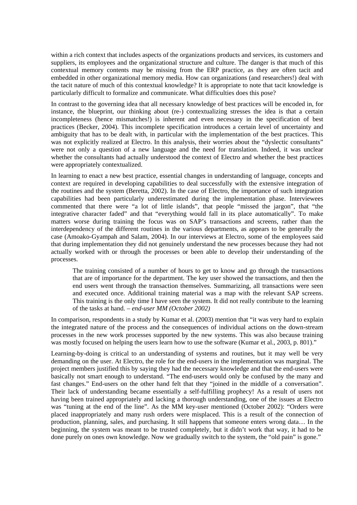within a rich context that includes aspects of the organizations products and services, its customers and suppliers, its employees and the organizational structure and culture. The danger is that much of this contextual memory contents may be missing from the ERP practice, as they are often tacit and embedded in other organizational memory media. How can organizations (and researchers!) deal with the tacit nature of much of this contextual knowledge? It is appropriate to note that tacit knowledge is particularly difficult to formalize and communicate. What difficulties does this pose?

In contrast to the governing idea that all necessary knowledge of best practices will be encoded in, for instance, the blueprint, our thinking about (re-) contextualizing stresses the idea is that a certain incompleteness (hence mismatches!) is inherent and even necessary in the specification of best practices (Becker, 2004). This incomplete specification introduces a certain level of uncertainty and ambiguity that has to be dealt with, in particular with the implementation of the best practices. This was not explicitly realized at Electro. In this analysis, their worries about the "dyslectic consultants" were not only a question of a new language and the need for translation. Indeed, it was unclear whether the consultants had actually understood the context of Electro and whether the best practices were appropriately contextualized.

In learning to enact a new best practice, essential changes in understanding of language, concepts and context are required in developing capabilities to deal successfully with the extensive integration of the routines and the system (Beretta, 2002). In the case of Electro, the importance of such integration capabilities had been particularly underestimated during the implementation phase. Interviewees commented that there were "a lot of little islands", that people "missed the jargon", that "the integrative character faded" and that "everything would fall in its place automatically". To make matters worse during training the focus was on SAP's transactions and screens, rather than the interdependency of the different routines in the various departments, as appears to be generally the case (Amoako-Gyampah and Salam, 2004). In our interviews at Electro, some of the employees said that during implementation they did not genuinely understand the new processes because they had not actually worked with or through the processes or been able to develop their understanding of the processes.

The training consisted of a number of hours to get to know and go through the transactions that are of importance for the department. The key user showed the transactions, and then the end users went through the transaction themselves. Summarizing, all transactions were seen and executed once. Additional training material was a map with the relevant SAP screens. This training is the only time I have seen the system. It did not really contribute to the learning of the tasks at hand. – *end-user MM (October 2002)*

In comparison, respondents in a study by Kumar et al. (2003) mention that "it was very hard to explain the integrated nature of the process and the consequences of individual actions on the down-stream processes in the new work processes supported by the new systems. This was also because training was mostly focused on helping the users learn how to use the software (Kumar et al., 2003, p. 801)."

Learning-by-doing is critical to an understanding of systems and routines, but it may well be very demanding on the user. At Electro, the role for the end-users in the implementation was marginal. The project members justified this by saying they had the necessary knowledge and that the end-users were basically not smart enough to understand. "The end-users would only be confused by the many and fast changes." End-users on the other hand felt that they "joined in the middle of a conversation". Their lack of understanding became essentially a self-fulfilling prophecy! As a result of users not having been trained appropriately and lacking a thorough understanding, one of the issues at Electro was "tuning at the end of the line". As the MM key-user mentioned (October 2002): "Orders were placed inappropriately and many rush orders were misplaced. This is a result of the connection of production, planning, sales, and purchasing. It still happens that someone enters wrong data… In the beginning, the system was meant to be trusted completely, but it didn't work that way, it had to be done purely on ones own knowledge. Now we gradually switch to the system, the "old pain" is gone."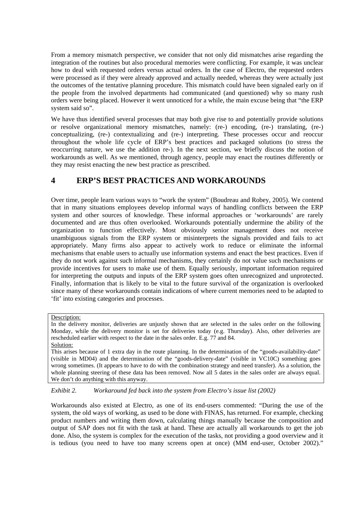From a memory mismatch perspective, we consider that not only did mismatches arise regarding the integration of the routines but also procedural memories were conflicting. For example, it was unclear how to deal with requested orders versus actual orders. In the case of Electro, the requested orders were processed as if they were already approved and actually needed, whereas they were actually just the outcomes of the tentative planning procedure. This mismatch could have been signaled early on if the people from the involved departments had communicated (and questioned) why so many rush orders were being placed. However it went unnoticed for a while, the main excuse being that "the ERP system said so".

We have thus identified several processes that may both give rise to and potentially provide solutions or resolve organizational memory mismatches, namely: (re-) encoding, (re-) translating, (re-) conceptualizing, (re-) contextualizing and (re-) interpreting. These processes occur and reoccur throughout the whole life cycle of ERP's best practices and packaged solutions (to stress the reoccurring nature, we use the addition re-). In the next section, we briefly discuss the notion of workarounds as well. As we mentioned, through agency, people may enact the routines differently or they may resist enacting the new best practice as prescribed.

### **4 ERP'S BEST PRACTICES AND WORKAROUNDS**

Over time, people learn various ways to "work the system" (Boudreau and Robey, 2005). We contend that in many situations employees develop informal ways of handling conflicts between the ERP system and other sources of knowledge. These informal approaches or 'workarounds' are rarely documented and are thus often overlooked. Workarounds potentially undermine the ability of the organization to function effectively. Most obviously senior management does not receive unambiguous signals from the ERP system or misinterprets the signals provided and fails to act appropriately. Many firms also appear to actively work to reduce or eliminate the informal mechanisms that enable users to actually use information systems and enact the best practices. Even if they do not work against such informal mechanisms, they certainly do not value such mechanisms or provide incentives for users to make use of them. Equally seriously, important information required for interpreting the outputs and inputs of the ERP system goes often unrecognized and unprotected. Finally, information that is likely to be vital to the future survival of the organization is overlooked since many of these workarounds contain indications of where current memories need to be adapted to 'fit' into existing categories and processes.

*Exhibit 2. Workaround fed back into the system from Electro's issue list (2002)* 

Workarounds also existed at Electro, as one of its end-users commented: "During the use of the system, the old ways of working, as used to be done with FINAS, has returned. For example, checking product numbers and writing them down, calculating things manually because the composition and output of SAP does not fit with the task at hand. These are actually all workarounds to get the job done. Also, the system is complex for the execution of the tasks, not providing a good overview and it is tedious (you need to have too many screens open at once) (MM end-user, October 2002)."

Description:

In the delivery monitor, deliveries are unjustly shown that are selected in the sales order on the following Monday, while the delivery monitor is set for deliveries today (e.g. Thursday). Also, other deliveries are rescheduled earlier with respect to the date in the sales order. E.g. 77 and 84. Solution:

This arises because of 1 extra day in the route planning. In the determination of the "goods-availability-date" (visible in MD04) and the determination of the "goods-delivery-date" (visible in VC10C) something goes wrong sometimes. (It appears to have to do with the combination strategy and need transfer). As a solution, the whole planning steering of these data has been removed. Now all 5 dates in the sales order are always equal. We don't do anything with this anyway.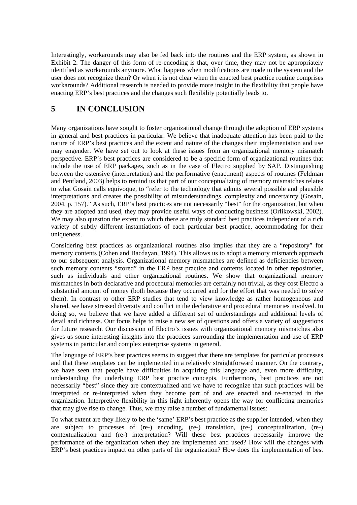Interestingly, workarounds may also be fed back into the routines and the ERP system, as shown in Exhibit 2. The danger of this form of re-encoding is that, over time, they may not be appropriately identified as workarounds anymore. What happens when modifications are made to the system and the user does not recognize them? Or when it is not clear when the enacted best practice routine comprises workarounds? Additional research is needed to provide more insight in the flexibility that people have enacting ERP's best practices and the changes such flexibility potentially leads to.

## **5 IN CONCLUSION**

Many organizations have sought to foster organizational change through the adoption of ERP systems in general and best practices in particular. We believe that inadequate attention has been paid to the nature of ERP's best practices and the extent and nature of the changes their implementation and use may engender. We have set out to look at these issues from an organizational memory mismatch perspective. ERP's best practices are considered to be a specific form of organizational routines that include the use of ERP packages, such as in the case of Electro supplied by SAP. Distinguishing between the ostensive (interpretation) and the performative (enactment) aspects of routines (Feldman and Pentland, 2003) helps to remind us that part of our conceptualizing of memory mismatches relates to what Gosain calls equivoque, to "refer to the technology that admits several possible and plausible interpretations and creates the possibility of misunderstandings, complexity and uncertainty (Gosain, 2004, p. 157)." As such, ERP's best practices are not necessarily "best" for the organization, but when they are adopted and used, they may provide useful ways of conducting business (Orlikowski, 2002). We may also question the extent to which there are truly standard best practices independent of a rich variety of subtly different instantiations of each particular best practice, accommodating for their uniqueness.

Considering best practices as organizational routines also implies that they are a "repository" for memory contents (Cohen and Bacdayan, 1994). This allows us to adopt a memory mismatch approach to our subsequent analysis. Organizational memory mismatches are defined as deficiencies between such memory contents "stored" in the ERP best practice and contents located in other repositories, such as individuals and other organizational routines. We show that organizational memory mismatches in both declarative and procedural memories are certainly not trivial, as they cost Electro a substantial amount of money (both because they occurred and for the effort that was needed to solve them). In contrast to other ERP studies that tend to view knowledge as rather homogeneous and shared, we have stressed diversity and conflict in the declarative and procedural memories involved. In doing so, we believe that we have added a different set of understandings and additional levels of detail and richness. Our focus helps to raise a new set of questions and offers a variety of suggestions for future research. Our discussion of Electro's issues with organizational memory mismatches also gives us some interesting insights into the practices surrounding the implementation and use of ERP systems in particular and complex enterprise systems in general.

The language of ERP's best practices seems to suggest that there are templates for particular processes and that these templates can be implemented in a relatively straightforward manner. On the contrary, we have seen that people have difficulties in acquiring this language and, even more difficulty, understanding the underlying ERP best practice concepts. Furthermore, best practices are not necessarily "best" since they are contextualized and we have to recognize that such practices will be interpreted or re-interpreted when they become part of and are enacted and re-enacted in the organization. Interpretive flexibility in this light inherently opens the way for conflicting memories that may give rise to change. Thus, we may raise a number of fundamental issues:

To what extent are they likely to be the 'same' ERP's best practice as the supplier intended, when they are subject to processes of (re-) encoding, (re-) translation, (re-) conceptualization, (re-) contextualization and (re-) interpretation? Will these best practices necessarily improve the performance of the organization when they are implemented and used? How will the changes with ERP's best practices impact on other parts of the organization? How does the implementation of best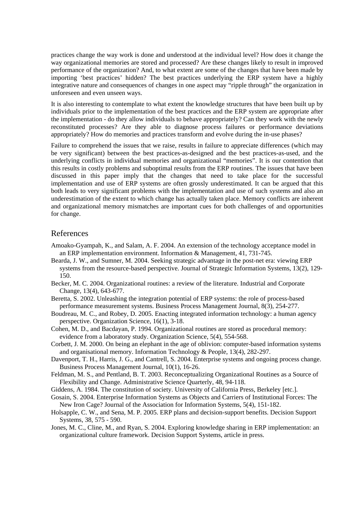practices change the way work is done and understood at the individual level? How does it change the way organizational memories are stored and processed? Are these changes likely to result in improved performance of the organization? And, to what extent are some of the changes that have been made by importing 'best practices' hidden? The best practices underlying the ERP system have a highly integrative nature and consequences of changes in one aspect may "ripple through" the organization in unforeseen and even unseen ways.

It is also interesting to contemplate to what extent the knowledge structures that have been built up by individuals prior to the implementation of the best practices and the ERP system are appropriate after the implementation - do they allow individuals to behave appropriately? Can they work with the newly reconstituted processes? Are they able to diagnose process failures or performance deviations appropriately? How do memories and practices transform and evolve during the in-use phases?

Failure to comprehend the issues that we raise, results in failure to appreciate differences (which may be very significant) between the best practices-as-designed and the best practices-as-used, and the underlying conflicts in individual memories and organizational "memories". It is our contention that this results in costly problems and suboptimal results from the ERP routines. The issues that have been discussed in this paper imply that the changes that need to take place for the successful implementation and use of ERP systems are often grossly underestimated. It can be argued that this both leads to very significant problems with the implementation and use of such systems and also an underestimation of the extent to which change has actually taken place. Memory conflicts are inherent and organizational memory mismatches are important cues for both challenges of and opportunities for change.

#### References

- Amoako-Gyampah, K., and Salam, A. F. 2004. An extension of the technology acceptance model in an ERP implementation environment. Information & Management, 41, 731-745.
- Bearda, J. W., and Sumner, M. 2004. Seeking strategic advantage in the post-net era: viewing ERP systems from the resource-based perspective. Journal of Strategic Information Systems, 13(2), 129- 150.
- Becker, M. C. 2004. Organizational routines: a review of the literature. Industrial and Corporate Change, 13(4), 643-677.
- Beretta, S. 2002. Unleashing the integration potential of ERP systems: the role of process-based performance measurement systems. Business Process Management Journal, 8(3), 254-277.
- Boudreau, M. C., and Robey, D. 2005. Enacting integrated information technology: a human agency perspective. Organization Science, 16(1), 3-18.
- Cohen, M. D., and Bacdayan, P. 1994. Organizational routines are stored as procedural memory: evidence from a laboratory study. Organization Science, 5(4), 554-568.
- Corbett, J. M. 2000. On being an elephant in the age of oblivion: computer-based information systems and organisational memory. Information Technology & People, 13(4), 282-297.
- Davenport, T. H., Harris, J. G., and Cantrell, S. 2004. Enterprise systems and ongoing process change. Business Process Management Journal, 10(1), 16-26.
- Feldman, M. S., and Pentland, B. T. 2003. Reconceptualizing Organizational Routines as a Source of Flexibility and Change. Administrative Science Quarterly, 48, 94-118.
- Giddens, A. 1984. The constitution of society. University of California Press, Berkeley [etc.].
- Gosain, S. 2004. Enterprise Information Systems as Objects and Carriers of Institutional Forces: The New Iron Cage? Journal of the Association for Information Systems, 5(4), 151-182.
- Holsapple, C. W., and Sena, M. P. 2005. ERP plans and decision-support benefits. Decision Support Systems, 38, 575 - 590.
- Jones, M. C., Cline, M., and Ryan, S. 2004. Exploring knowledge sharing in ERP implementation: an organizational culture framework. Decision Support Systems, article in press.